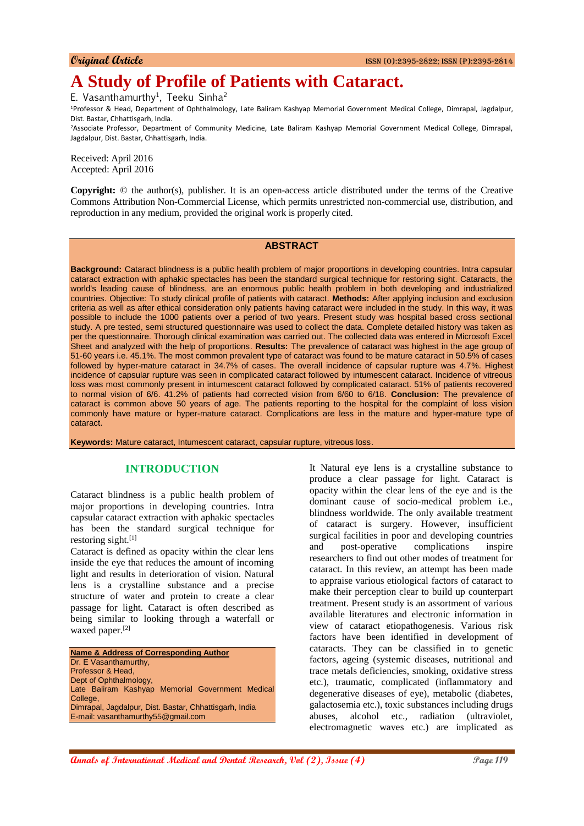# **A Study of Profile of Patients with Cataract.**

E. Vasanthamurthy<sup>1</sup>, Teeku Sinha<sup>2</sup>

<sup>1</sup>Professor & Head, Department of Ophthalmology, Late Baliram Kashyap Memorial Government Medical College, Dimrapal, Jagdalpur, Dist. Bastar, Chhattisgarh, India.

<sup>2</sup>Associate Professor, Department of Community Medicine, Late Baliram Kashyap Memorial Government Medical College, Dimrapal, Jagdalpur, Dist. Bastar, Chhattisgarh, India.

Received: April 2016 Accepted: April 2016

**Copyright:** © the author(s), publisher. It is an open-access article distributed under the terms of the Creative Commons Attribution Non-Commercial License, which permits unrestricted non-commercial use, distribution, and reproduction in any medium, provided the original work is properly cited.

## **ABSTRACT**

**Background:** Cataract blindness is a public health problem of major proportions in developing countries. Intra capsular cataract extraction with aphakic spectacles has been the standard surgical technique for restoring sight. Cataracts, the world's leading cause of blindness, are an enormous public health problem in both developing and industrialized countries. Objective: To study clinical profile of patients with cataract. **Methods:** After applying inclusion and exclusion criteria as well as after ethical consideration only patients having cataract were included in the study. In this way, it was possible to include the 1000 patients over a period of two years. Present study was hospital based cross sectional study. A pre tested, semi structured questionnaire was used to collect the data. Complete detailed history was taken as per the questionnaire. Thorough clinical examination was carried out. The collected data was entered in Microsoft Excel Sheet and analyzed with the help of proportions. **Results:** The prevalence of cataract was highest in the age group of 51-60 years i.e. 45.1%. The most common prevalent type of cataract was found to be mature cataract in 50.5% of cases followed by hyper-mature cataract in 34.7% of cases. The overall incidence of capsular rupture was 4.7%. Highest incidence of capsular rupture was seen in complicated cataract followed by intumescent cataract. Incidence of vitreous loss was most commonly present in intumescent cataract followed by complicated cataract. 51% of patients recovered to normal vision of 6/6. 41.2% of patients had corrected vision from 6/60 to 6/18. **Conclusion:** The prevalence of cataract is common above 50 years of age. The patients reporting to the hospital for the complaint of loss vision commonly have mature or hyper-mature cataract. Complications are less in the mature and hyper-mature type of cataract.

**Keywords:** Mature cataract, Intumescent cataract, capsular rupture, vitreous loss.

# **INTRODUCTION**

Cataract blindness is a public health problem of major proportions in developing countries. Intra capsular cataract extraction with aphakic spectacles has been the standard surgical technique for restoring sight.[1]

Cataract is defined as opacity within the clear lens inside the eye that reduces the amount of incoming light and results in deterioration of vision. Natural lens is a crystalline substance and a precise structure of water and protein to create a clear passage for light. Cataract is often described as being similar to looking through a waterfall or waxed paper.<sup>[2]</sup>

**Name & Address of Corresponding Author** Dr. E Vasanthamurthy, Professor & Head, Dept of Ophthalmology, Late Baliram Kashyap Memorial Government Medical College, Dimrapal, Jagdalpur, Dist. Bastar, Chhattisgarh, India E-mail: vasanthamurthy55@gmail.com

It Natural eye lens is a crystalline substance to produce a clear passage for light. Cataract is opacity within the clear lens of the eye and is the dominant cause of socio-medical problem i.e., blindness worldwide. The only available treatment of cataract is surgery. However, insufficient surgical facilities in poor and developing countries and post-operative complications inspire researchers to find out other modes of treatment for cataract. In this review, an attempt has been made to appraise various etiological factors of cataract to make their perception clear to build up counterpart treatment. Present study is an assortment of various available literatures and electronic information in view of cataract etiopathogenesis. Various risk factors have been identified in development of cataracts. They can be classified in to genetic factors, ageing (systemic diseases, nutritional and trace metals deficiencies, smoking, oxidative stress etc.), traumatic, complicated (inflammatory and degenerative diseases of eye), metabolic (diabetes, galactosemia etc.), toxic substances including drugs abuses, alcohol etc., radiation (ultraviolet, electromagnetic waves etc.) are implicated as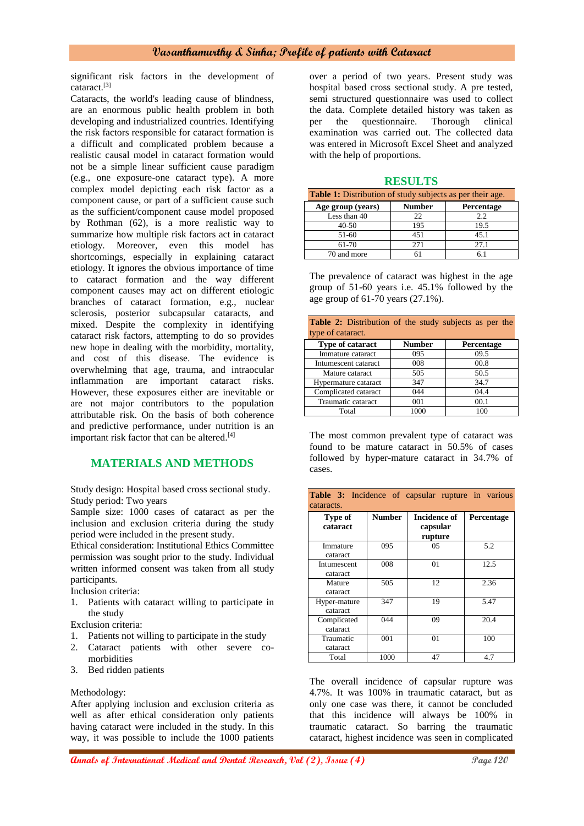# **Vasanthamurthy & Sinha; Profile of patients with Cataract**

significant risk factors in the development of cataract.[3]

Cataracts, the world's leading cause of blindness, are an enormous public health problem in both developing and industrialized countries. Identifying the risk factors responsible for cataract formation is a difficult and complicated problem because a realistic causal model in cataract formation would not be a simple linear sufficient cause paradigm (e.g., one exposure-one cataract type). A more complex model depicting each risk factor as a component cause, or part of a sufficient cause such as the sufficient/component cause model proposed by Rothman (62), is a more realistic way to summarize how multiple risk factors act in cataract etiology. Moreover, even this model has shortcomings, especially in explaining cataract etiology. It ignores the obvious importance of time to cataract formation and the way different component causes may act on different etiologic branches of cataract formation, e.g., nuclear sclerosis, posterior subcapsular cataracts, and mixed. Despite the complexity in identifying cataract risk factors, attempting to do so provides new hope in dealing with the morbidity, mortality, and cost of this disease. The evidence is overwhelming that age, trauma, and intraocular inflammation are important cataract risks. However, these exposures either are inevitable or are not major contributors to the population attributable risk. On the basis of both coherence and predictive performance, under nutrition is an important risk factor that can be altered.<sup>[4]</sup>

# **MATERIALS AND METHODS**

Study design: Hospital based cross sectional study. Study period: Two years

Sample size: 1000 cases of cataract as per the inclusion and exclusion criteria during the study period were included in the present study.

Ethical consideration: Institutional Ethics Committee permission was sought prior to the study. Individual written informed consent was taken from all study participants.

Inclusion criteria:

1. Patients with cataract willing to participate in the study

Exclusion criteria:

- 1. Patients not willing to participate in the study
- 2. Cataract patients with other severe comorbidities
- 3. Bed ridden patients

Methodology:

After applying inclusion and exclusion criteria as well as after ethical consideration only patients having cataract were included in the study. In this way, it was possible to include the 1000 patients over a period of two years. Present study was hospital based cross sectional study. A pre tested, semi structured questionnaire was used to collect the data. Complete detailed history was taken as per the questionnaire. Thorough clinical examination was carried out. The collected data was entered in Microsoft Excel Sheet and analyzed with the help of proportions.

#### **RESULTS**

| <b>Table 1:</b> Distribution of study subjects as per their age. |               |            |  |  |
|------------------------------------------------------------------|---------------|------------|--|--|
| Age group (years)                                                | <b>Number</b> | Percentage |  |  |
| Less than 40                                                     | 22            | 2.2        |  |  |
| $40 - 50$                                                        | 195           | 19.5       |  |  |
| 51-60                                                            | 451           | 45.1       |  |  |
| $61 - 70$                                                        | 271           | 27.1       |  |  |
| 70 and more                                                      |               |            |  |  |

The prevalence of cataract was highest in the age group of 51-60 years i.e. 45.1% followed by the age group of 61-70 years (27.1%).

| <b>Table 2:</b> Distribution of the study subjects as per the |               |            |  |  |
|---------------------------------------------------------------|---------------|------------|--|--|
| type of cataract.                                             |               |            |  |  |
| <b>Type of cataract</b>                                       | <b>Number</b> | Percentage |  |  |
| Immature cataract                                             | 095           | 09.5       |  |  |
| Intumescent cataract                                          | 008           | 00.8       |  |  |
| Mature cataract                                               | 505           | 50.5       |  |  |
| Hypermature cataract                                          | 347           | 34.7       |  |  |
| Complicated cataract                                          | 044           | 04.4       |  |  |
| Traumatic cataract                                            | 001           | 00.1       |  |  |
| Total                                                         | 1000          | 100        |  |  |

The most common prevalent type of cataract was found to be mature cataract in 50.5% of cases followed by hyper-mature cataract in 34.7% of cases.

| <b>Table 3:</b> Incidence of capsular rupture in various<br>cataracts. |               |                                     |            |
|------------------------------------------------------------------------|---------------|-------------------------------------|------------|
| Type of<br>cataract                                                    | <b>Number</b> | Incidence of<br>capsular<br>rupture | Percentage |
| Immature<br>cataract                                                   | 095           | 05                                  | 5.2        |
| Intumescent<br>cataract                                                | 008           | 01                                  | 12.5       |
| Mature<br>cataract                                                     | 505           | 12                                  | 2.36       |
| Hyper-mature<br>cataract                                               | 347           | 19                                  | 5.47       |
| Complicated<br>cataract                                                | 044           | 09                                  | 20.4       |
| Traumatic<br>cataract                                                  | 001           | 01                                  | 100        |
| Total                                                                  | 1000          | 47                                  | 4.7        |

The overall incidence of capsular rupture was 4.7%. It was 100% in traumatic cataract, but as only one case was there, it cannot be concluded that this incidence will always be 100% in traumatic cataract. So barring the traumatic cataract, highest incidence was seen in complicated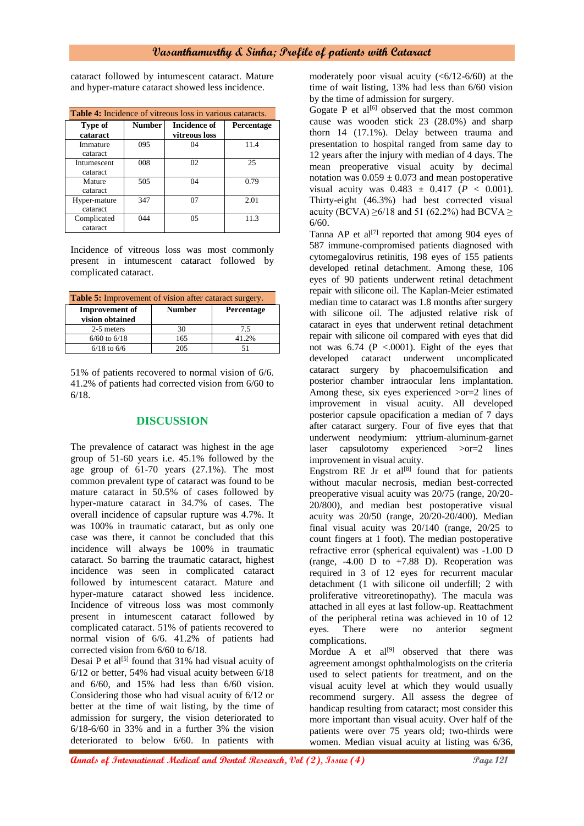# **Vasanthamurthy & Sinha; Profile of patients with Cataract**

cataract followed by intumescent cataract. Mature and hyper-mature cataract showed less incidence.

| <b>Table 4:</b> Incidence of vitreous loss in various cataracts. |               |                                      |            |
|------------------------------------------------------------------|---------------|--------------------------------------|------------|
| Type of<br>cataract                                              | <b>Number</b> | <b>Incidence of</b><br>vitreous loss | Percentage |
| Immature<br>cataract                                             | 095           | 04                                   | 11.4       |
| Intumescent<br>cataract                                          | 008           | 02                                   | 25         |
| Mature<br>cataract                                               | 505           | 04                                   | 0.79       |
| Hyper-mature<br>cataract                                         | 347           | 07                                   | 2.01       |
| Complicated<br>cataract                                          | 044           | 05                                   | 11.3       |

Incidence of vitreous loss was most commonly present in intumescent cataract followed by complicated cataract.

| <b>Table 5:</b> Improvement of vision after cataract surgery. |               |                   |  |
|---------------------------------------------------------------|---------------|-------------------|--|
| <b>Improvement</b> of<br>vision obtained                      | <b>Number</b> | <b>Percentage</b> |  |
| 2-5 meters                                                    | 30            | 7.5               |  |
| $6/60$ to $6/18$                                              | 165           | 41.2%             |  |
| $6/18$ to $6/6$                                               | 205           |                   |  |

51% of patients recovered to normal vision of 6/6. 41.2% of patients had corrected vision from 6/60 to 6/18.

# **DISCUSSION**

The prevalence of cataract was highest in the age group of 51-60 years i.e. 45.1% followed by the age group of 61-70 years (27.1%). The most common prevalent type of cataract was found to be mature cataract in 50.5% of cases followed by hyper-mature cataract in 34.7% of cases. The overall incidence of capsular rupture was 4.7%. It was 100% in traumatic cataract, but as only one case was there, it cannot be concluded that this incidence will always be 100% in traumatic cataract. So barring the traumatic cataract, highest incidence was seen in complicated cataract followed by intumescent cataract. Mature and hyper-mature cataract showed less incidence. Incidence of vitreous loss was most commonly present in intumescent cataract followed by complicated cataract. 51% of patients recovered to normal vision of 6/6. 41.2% of patients had corrected vision from 6/60 to 6/18.

Desai P et al<sup>[5]</sup> found that  $31\%$  had visual acuity of 6/12 or better, 54% had visual acuity between 6/18 and 6/60, and 15% had less than 6/60 vision. Considering those who had visual acuity of 6/12 or better at the time of wait listing, by the time of admission for surgery, the vision deteriorated to 6/18-6/60 in 33% and in a further 3% the vision deteriorated to below 6/60. In patients with

moderately poor visual acuity  $( $6/12-6/60$ )$  at the time of wait listing, 13% had less than 6/60 vision by the time of admission for surgery.

Gogate P et  $al^{[6]}$  observed that the most common cause was wooden stick 23 (28.0%) and sharp thorn 14 (17.1%). Delay between trauma and presentation to hospital ranged from same day to 12 years after the injury with median of 4 days. The mean preoperative visual acuity by decimal notation was  $0.059 \pm 0.073$  and mean postoperative visual acuity was  $0.483 \pm 0.417$  ( $P < 0.001$ ). Thirty-eight (46.3%) had best corrected visual acuity (BCVA)  $\geq 6/18$  and 51 (62.2%) had BCVA  $\geq$ 6/60.

Tanna AP et al<sup>[7]</sup> reported that among 904 eyes of 587 immune-compromised patients diagnosed with cytomegalovirus retinitis, 198 eyes of 155 patients developed retinal detachment. Among these, 106 eyes of 90 patients underwent retinal detachment repair with silicone oil. The Kaplan-Meier estimated median time to cataract was 1.8 months after surgery with silicone oil. The adjusted relative risk of cataract in eyes that underwent retinal detachment repair with silicone oil compared with eyes that did not was  $6.74$  (P <.0001). Eight of the eyes that developed cataract underwent uncomplicated cataract surgery by phacoemulsification and posterior chamber intraocular lens implantation. Among these, six eyes experienced >or=2 lines of improvement in visual acuity. All developed posterior capsule opacification a median of 7 days after cataract surgery. Four of five eyes that that underwent neodymium: yttrium-aluminum-garnet laser capsulotomy experienced >or=2 lines improvement in visual acuity.

Engstrom RE Jr et al<sup>[8]</sup> found that for patients without macular necrosis, median best-corrected preoperative visual acuity was 20/75 (range, 20/20- 20/800), and median best postoperative visual acuity was 20/50 (range, 20/20-20/400). Median final visual acuity was 20/140 (range, 20/25 to count fingers at 1 foot). The median postoperative refractive error (spherical equivalent) was -1.00 D (range,  $-4.00$  D to  $+7.88$  D). Reoperation was required in 3 of 12 eyes for recurrent macular detachment (1 with silicone oil underfill; 2 with proliferative vitreoretinopathy). The macula was attached in all eyes at last follow-up. Reattachment of the peripheral retina was achieved in 10 of 12 eyes. There were no anterior segment complications.

Mordue A et  $al^{[9]}$  observed that there was agreement amongst ophthalmologists on the criteria used to select patients for treatment, and on the visual acuity level at which they would usually recommend surgery. All assess the degree of handicap resulting from cataract; most consider this more important than visual acuity. Over half of the patients were over 75 years old; two-thirds were women. Median visual acuity at listing was 6/36,